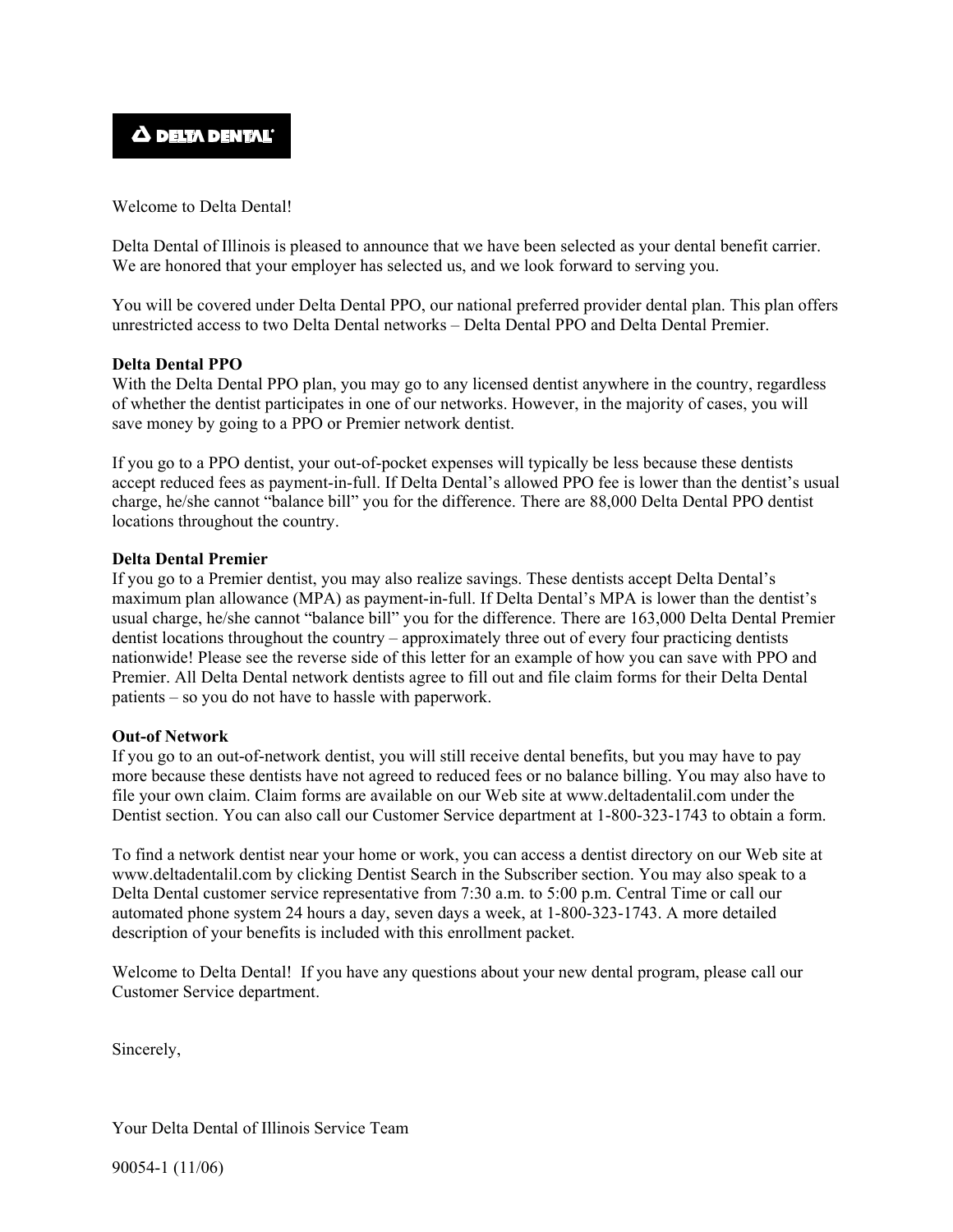

Welcome to Delta Dental!

Delta Dental of Illinois is pleased to announce that we have been selected as your dental benefit carrier. We are honored that your employer has selected us, and we look forward to serving you.

You will be covered under Delta Dental PPO, our national preferred provider dental plan. This plan offers unrestricted access to two Delta Dental networks – Delta Dental PPO and Delta Dental Premier.

#### **Delta Dental PPO**

With the Delta Dental PPO plan, you may go to any licensed dentist anywhere in the country, regardless of whether the dentist participates in one of our networks. However, in the majority of cases, you will save money by going to a PPO or Premier network dentist.

If you go to a PPO dentist, your out-of-pocket expenses will typically be less because these dentists accept reduced fees as payment-in-full. If Delta Dental's allowed PPO fee is lower than the dentist's usual charge, he/she cannot "balance bill" you for the difference. There are 88,000 Delta Dental PPO dentist locations throughout the country.

#### **Delta Dental Premier**

If you go to a Premier dentist, you may also realize savings. These dentists accept Delta Dental's maximum plan allowance (MPA) as payment-in-full. If Delta Dental's MPA is lower than the dentist's usual charge, he/she cannot "balance bill" you for the difference. There are 163,000 Delta Dental Premier dentist locations throughout the country – approximately three out of every four practicing dentists nationwide! Please see the reverse side of this letter for an example of how you can save with PPO and Premier. All Delta Dental network dentists agree to fill out and file claim forms for their Delta Dental patients – so you do not have to hassle with paperwork.

### **Out-of Network**

If you go to an out-of-network dentist, you will still receive dental benefits, but you may have to pay more because these dentists have not agreed to reduced fees or no balance billing. You may also have to file your own claim. Claim forms are available on our Web site at www.deltadentalil.com under the Dentist section. You can also call our Customer Service department at 1-800-323-1743 to obtain a form.

To find a network dentist near your home or work, you can access a dentist directory on our Web site at www.deltadentalil.com by clicking Dentist Search in the Subscriber section. You may also speak to a Delta Dental customer service representative from 7:30 a.m. to 5:00 p.m. Central Time or call our automated phone system 24 hours a day, seven days a week, at 1-800-323-1743. A more detailed description of your benefits is included with this enrollment packet.

Welcome to Delta Dental! If you have any questions about your new dental program, please call our Customer Service department.

Sincerely,

Your Delta Dental of Illinois Service Team

90054-1 (11/06)